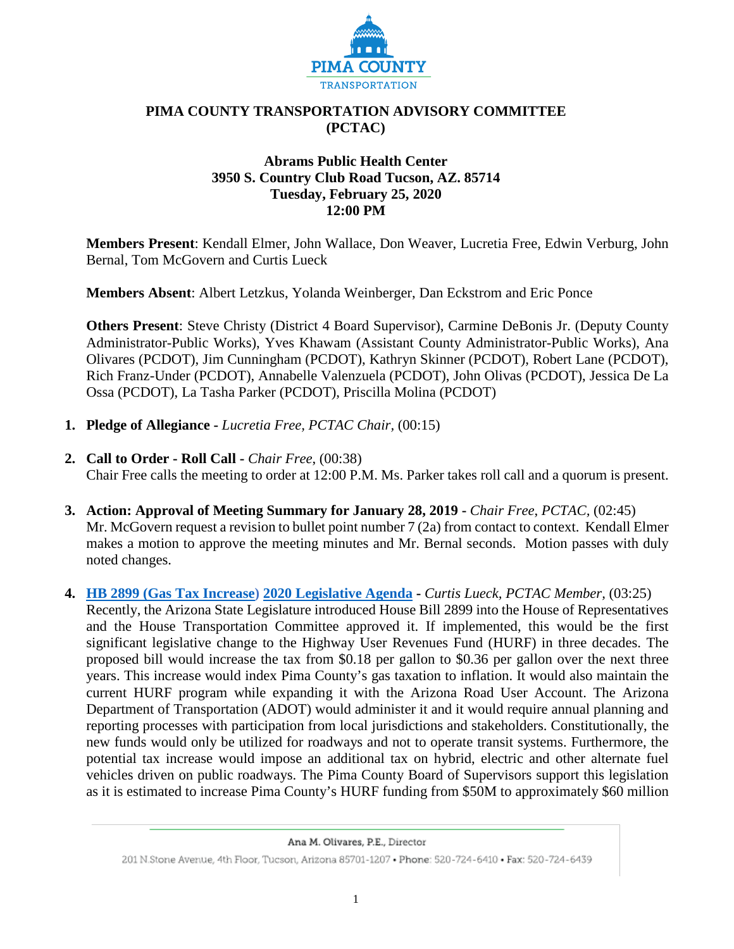

### **PIMA COUNTY TRANSPORTATION ADVISORY COMMITTEE (PCTAC)**

#### **Abrams Public Health Center 3950 S. Country Club Road Tucson, AZ. 85714 Tuesday, February 25, 2020 12:00 PM**

**Members Present**: Kendall Elmer, John Wallace, Don Weaver, Lucretia Free, Edwin Verburg, John Bernal, Tom McGovern and Curtis Lueck

**Members Absent**: Albert Letzkus, Yolanda Weinberger, Dan Eckstrom and Eric Ponce

**Others Present**: Steve Christy (District 4 Board Supervisor), Carmine DeBonis Jr. (Deputy County Administrator-Public Works), Yves Khawam (Assistant County Administrator-Public Works), Ana Olivares (PCDOT), Jim Cunningham (PCDOT), Kathryn Skinner (PCDOT), Robert Lane (PCDOT), Rich Franz-Under (PCDOT), Annabelle Valenzuela (PCDOT), John Olivas (PCDOT), Jessica De La Ossa (PCDOT), La Tasha Parker (PCDOT), Priscilla Molina (PCDOT)

- **1. Pledge of Allegiance -** *Lucretia Free, PCTAC Chair,* (00:15)
- **2. Call to Order - Roll Call -** *Chair Free*, (00:38) Chair Free calls the meeting to order at 12:00 P.M. Ms. Parker takes roll call and a quorum is present.
- **3. Action: Approval of Meeting Summary for January 28, 2019 -** *Chair Free*, *PCTAC,* (02:45)
- Mr. McGovern request a revision to bullet point number 7 (2a) from contact to context. Kendall Elmer makes a motion to approve the meeting minutes and Mr. Bernal seconds. Motion passes with duly noted changes.
- **4. [HB 2899 \(Gas Tax Increase\)](https://webcms.pima.gov/UserFiles/Servers/Server_6/File/Government/Transportation/TransportationAdvisoryCommittee/DocumentsTab/Feb25.2020/HB_2899_Documents_for_PCTAC02-25-2020_CCL.pdf) [2020 Legislative Agenda](https://webcms.pima.gov/UserFiles/Servers/Server_6/File/Government/Transportation/TransportationAdvisoryCommittee/DocumentsTab/Feb25.2020/2020_Legislative_Agenda.pdf) -** *Curtis Lueck, PCTAC Member,* (03:25) Recently, the Arizona State Legislature introduced House Bill 2899 into the House of Representatives and the House Transportation Committee approved it. If implemented, this would be the first significant legislative change to the Highway User Revenues Fund (HURF) in three decades. The proposed bill would increase the tax from \$0.18 per gallon to \$0.36 per gallon over the next three years. This increase would index Pima County's gas taxation to inflation. It would also maintain the current HURF program while expanding it with the Arizona Road User Account. The Arizona Department of Transportation (ADOT) would administer it and it would require annual planning and reporting processes with participation from local jurisdictions and stakeholders. Constitutionally, the new funds would only be utilized for roadways and not to operate transit systems. Furthermore, the potential tax increase would impose an additional tax on hybrid, electric and other alternate fuel vehicles driven on public roadways. The Pima County Board of Supervisors support this legislation as it is estimated to increase Pima County's HURF funding from \$50M to approximately \$60 million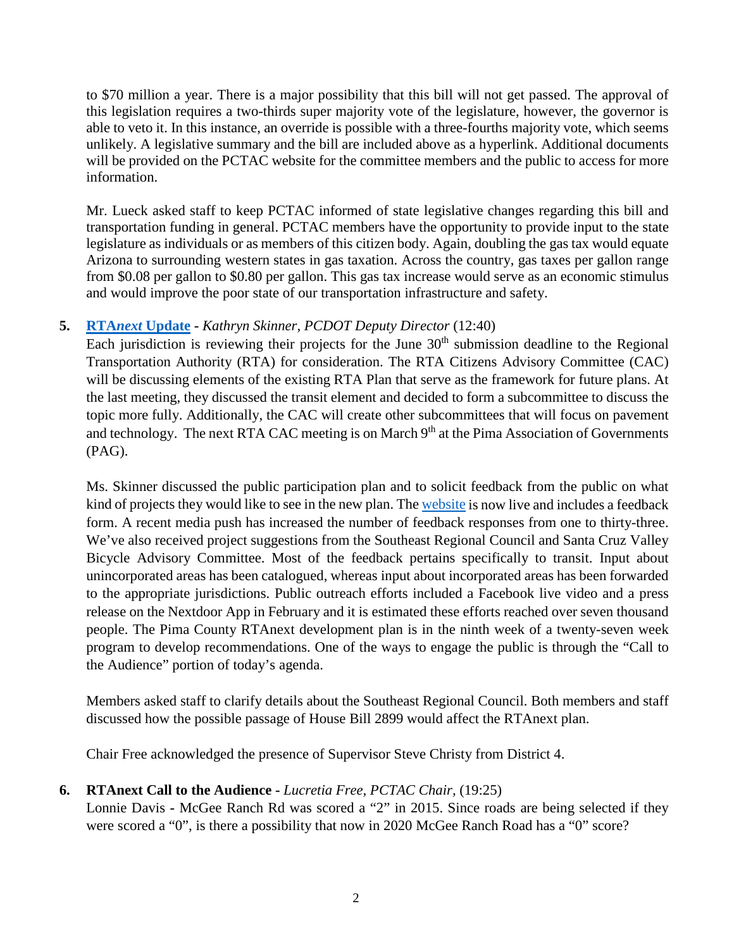to \$70 million a year. There is a major possibility that this bill will not get passed. The approval of this legislation requires a two-thirds super majority vote of the legislature, however, the governor is able to veto it. In this instance, an override is possible with a three-fourths majority vote, which seems unlikely. A legislative summary and the bill are included above as a hyperlink. Additional documents will be provided on the PCTAC website for the committee members and the public to access for more information.

Mr. Lueck asked staff to keep PCTAC informed of state legislative changes regarding this bill and transportation funding in general. PCTAC members have the opportunity to provide input to the state legislature as individuals or as members of this citizen body. Again, doubling the gas tax would equate Arizona to surrounding western states in gas taxation. Across the country, gas taxes per gallon range from \$0.08 per gallon to \$0.80 per gallon. This gas tax increase would serve as an economic stimulus and would improve the poor state of our transportation infrastructure and safety.

# **5. RTA***next* **[Update](https://webcms.pima.gov/UserFiles/Servers/Server_6/File/Government/Transportation/TransportationAdvisoryCommittee/DocumentsTab/Feb25.2020/RTA_NextPresentation_2_25_2020.pdf) -** *Kathryn Skinner, PCDOT Deputy Director* (12:40)

Each jurisdiction is reviewing their projects for the June  $30<sup>th</sup>$  submission deadline to the Regional Transportation Authority (RTA) for consideration. The RTA Citizens Advisory Committee (CAC) will be discussing elements of the existing RTA Plan that serve as the framework for future plans. At the last meeting, they discussed the transit element and decided to form a subcommittee to discuss the topic more fully. Additionally, the CAC will create other subcommittees that will focus on pavement and technology. The next RTA CAC meeting is on March 9<sup>th</sup> at the Pima Association of Governments (PAG).

Ms. Skinner discussed the public participation plan and to solicit feedback from the public on what kind of projects they would like to see in the new plan. The [website](http://intranet.pima.gov/) is now live and includes a feedback form. A recent media push has increased the number of feedback responses from one to thirty-three. We've also received project suggestions from the Southeast Regional Council and Santa Cruz Valley Bicycle Advisory Committee. Most of the feedback pertains specifically to transit. Input about unincorporated areas has been catalogued, whereas input about incorporated areas has been forwarded to the appropriate jurisdictions. Public outreach efforts included a Facebook live video and a press release on the Nextdoor App in February and it is estimated these efforts reached over seven thousand people. The Pima County RTAnext development plan is in the ninth week of a twenty-seven week program to develop recommendations. One of the ways to engage the public is through the "Call to the Audience" portion of today's agenda.

Members asked staff to clarify details about the Southeast Regional Council. Both members and staff discussed how the possible passage of House Bill 2899 would affect the RTAnext plan.

Chair Free acknowledged the presence of Supervisor Steve Christy from District 4.

### **6. RTAnext Call to the Audience -** *Lucretia Free, PCTAC Chair,* (19:25)

Lonnie Davis **-** McGee Ranch Rd was scored a "2" in 2015. Since roads are being selected if they were scored a "0", is there a possibility that now in 2020 McGee Ranch Road has a "0" score?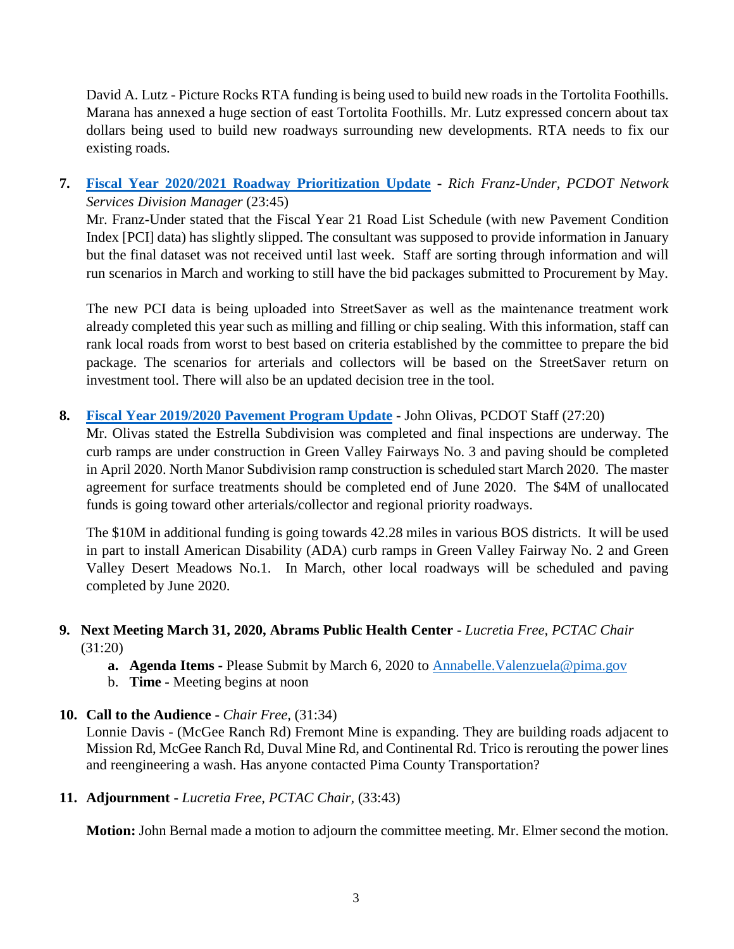David A. Lutz - Picture Rocks RTA funding is being used to build new roads in the Tortolita Foothills. Marana has annexed a huge section of east Tortolita Foothills. Mr. Lutz expressed concern about tax dollars being used to build new roadways surrounding new developments. RTA needs to fix our existing roads.

**7. [Fiscal Year 2020/2021 Roadway Prioritization](https://webcms.pima.gov/UserFiles/Servers/Server_6/File/Government/Transportation/TransportationAdvisoryCommittee/DocumentsTab/Feb25.2020/FY_20-21_RoadwayPrioritizationUpdate.pdf) Update -** *Rich Franz-Under, PCDOT Network Services Division Manager* (23:45)

Mr. Franz-Under stated that the Fiscal Year 21 Road List Schedule (with new Pavement Condition Index [PCI] data) has slightly slipped. The consultant was supposed to provide information in January but the final dataset was not received until last week. Staff are sorting through information and will run scenarios in March and working to still have the bid packages submitted to Procurement by May.

The new PCI data is being uploaded into StreetSaver as well as the maintenance treatment work already completed this year such as milling and filling or chip sealing. With this information, staff can rank local roads from worst to best based on criteria established by the committee to prepare the bid package. The scenarios for arterials and collectors will be based on the StreetSaver return on investment tool. There will also be an updated decision tree in the tool.

**8. [Fiscal Year 2019/2020 Pavement Program Update](https://webcms.pima.gov/UserFiles/Servers/Server_6/File/Government/Transportation/TransportationAdvisoryCommittee/DocumentsTab/Feb25.2020/PTAC-20200225_PavementProgramUpdate.pdf)** - John Olivas, PCDOT Staff (27:20)

Mr. Olivas stated the Estrella Subdivision was completed and final inspections are underway. The curb ramps are under construction in Green Valley Fairways No. 3 and paving should be completed in April 2020. North Manor Subdivision ramp construction is scheduled start March 2020. The master agreement for surface treatments should be completed end of June 2020. The \$4M of unallocated funds is going toward other arterials/collector and regional priority roadways.

The \$10M in additional funding is going towards 42.28 miles in various BOS districts. It will be used in part to install American Disability (ADA) curb ramps in Green Valley Fairway No. 2 and Green Valley Desert Meadows No.1. In March, other local roadways will be scheduled and paving completed by June 2020.

## **9. Next Meeting March 31, 2020, Abrams Public Health Center -** *Lucretia Free, PCTAC Chair* (31:20)

- **a. Agenda Items -** Please Submit by March 6, 2020 to [Annabelle.Valenzuela@pima.gov](mailto:Annabelle.Valenzuela@pima.gov)
- b. **Time -** Meeting begins at noon
- **10. Call to the Audience -** *Chair Free,* (31:34)

Lonnie Davis - (McGee Ranch Rd) Fremont Mine is expanding. They are building roads adjacent to Mission Rd, McGee Ranch Rd, Duval Mine Rd, and Continental Rd. Trico is rerouting the power lines and reengineering a wash. Has anyone contacted Pima County Transportation?

**11. Adjournment -** *Lucretia Free, PCTAC Chair,* (33:43)

**Motion:** John Bernal made a motion to adjourn the committee meeting. Mr. Elmer second the motion.